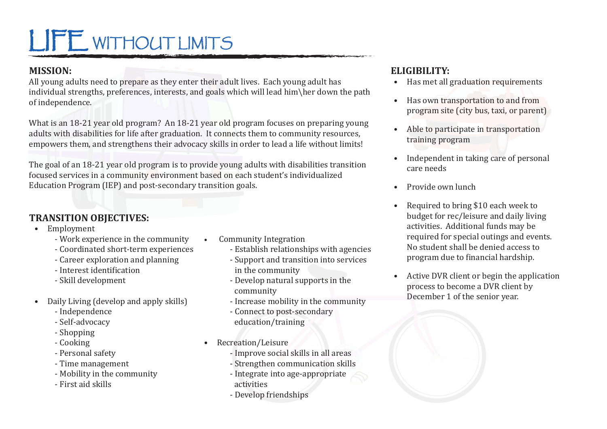# LIFE WITHOUT LIMITS

### **MISSION:**

All young adults need to prepare as they enter their adult lives. Each young adult has individual strengths, preferences, interests, and goals which will lead him\her down the path of independence.

What is an 18-21 year old program? An 18-21 year old program focuses on preparing young adults with disabilities for life after graduation. It connects them to community resources, empowers them, and strengthens their advocacy skills in order to lead a life without limits!

The goal of an 18-21 year old program is to provide young adults with disabilities transition focused services in a community environment based on each student's individualized Education Program (IEP) and post-secondary transition goals.

### **TRANSITION OBJECTIVES:**

- Employment
	- Work experience in the community
	- Coordinated short-term experiences
	- Career exploration and planning
	- Interest identification
	- Skill development
- Daily Living (develop and apply skills)
	- Independence
	- Self-advocacy
	- Shopping
	- Cooking
	- Personal safety
	- Time management
	- Mobility in the community
	- First aid skills
- Community Integration
	- Establish relationships with agencies
	- Support and transition into services in the community
	- Develop natural supports in the community
	- Increase mobility in the community
	- Connect to post-secondary education/training
- Recreation/Leisure
	- Improve social skills in all areas
	- Strengthen communication skills
	- Integrate into age-appropriate activities
	- Develop friendships

### **ELIGIBILITY:**

- Has met all graduation requirements
- Has own transportation to and from program site (city bus, taxi, or parent)
- Able to participate in transportation training program
- Independent in taking care of personal care needs
- Provide own lunch
- Required to bring \$10 each week to budget for rec/leisure and daily living activities. Additional funds may be required for special outings and events. No student shall be denied access to program due to financial hardship.
- Active DVR client or begin the application process to become a DVR client by December 1 of the senior year.